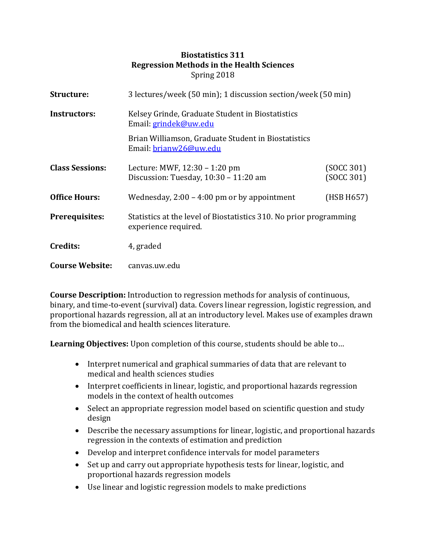## **Biostatistics 311 Regression Methods in the Health Sciences**  Spring 2018

| Structure:             | 3 lectures/week (50 min); 1 discussion section/week (50 min)                               |                          |
|------------------------|--------------------------------------------------------------------------------------------|--------------------------|
| Instructors:           | Kelsey Grinde, Graduate Student in Biostatistics<br>Email: grindek@uw.edu                  |                          |
|                        | Brian Williamson, Graduate Student in Biostatistics<br>Email: brianw26@uw.edu              |                          |
| <b>Class Sessions:</b> | Lecture: MWF, 12:30 - 1:20 pm<br>Discussion: Tuesday, 10:30 - 11:20 am                     | (SOCC 301)<br>(SOCC 301) |
| <b>Office Hours:</b>   | Wednesday, $2:00 - 4:00$ pm or by appointment                                              | (HSB H657)               |
| <b>Prerequisites:</b>  | Statistics at the level of Biostatistics 310. No prior programming<br>experience required. |                          |
| Credits:               | 4, graded                                                                                  |                          |
| <b>Course Website:</b> | canvas.uw.edu                                                                              |                          |

**Course Description:** Introduction to regression methods for analysis of continuous, binary, and time-to-event (survival) data. Covers linear regression, logistic regression, and proportional hazards regression, all at an introductory level. Makes use of examples drawn from the biomedical and health sciences literature.

**Learning Objectives:** Upon completion of this course, students should be able to…

- Interpret numerical and graphical summaries of data that are relevant to medical and health sciences studies
- Interpret coefficients in linear, logistic, and proportional hazards regression models in the context of health outcomes
- Select an appropriate regression model based on scientific question and study design
- Describe the necessary assumptions for linear, logistic, and proportional hazards regression in the contexts of estimation and prediction
- Develop and interpret confidence intervals for model parameters
- Set up and carry out appropriate hypothesis tests for linear, logistic, and proportional hazards regression models
- Use linear and logistic regression models to make predictions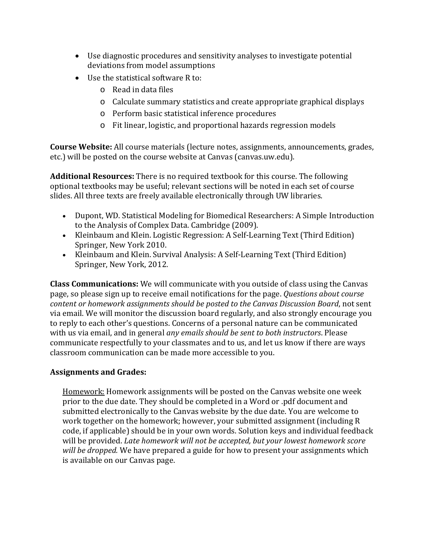- Use diagnostic procedures and sensitivity analyses to investigate potential deviations from model assumptions
- Use the statistical software R to:
	- o Read in data files
	- o Calculate summary statistics and create appropriate graphical displays
	- o Perform basic statistical inference procedures
	- o Fit linear, logistic, and proportional hazards regression models

**Course Website:** All course materials (lecture notes, assignments, announcements, grades, etc.) will be posted on the course website at Canvas (canvas.uw.edu).

**Additional Resources:** There is no required textbook for this course. The following optional textbooks may be useful; relevant sections will be noted in each set of course slides. All three texts are freely available electronically through UW libraries.

- Dupont, WD. Statistical Modeling for Biomedical Researchers: A Simple Introduction to the Analysis of Complex Data. Cambridge (2009).
- Kleinbaum and Klein. Logistic Regression: A Self-Learning Text (Third Edition) Springer, New York 2010.
- Kleinbaum and Klein. Survival Analysis: A Self-Learning Text (Third Edition) Springer, New York, 2012.

**Class Communications:** We will communicate with you outside of class using the Canvas page, so please sign up to receive email notifications for the page. *Questions about course content or homework assignments should be posted to the Canvas Discussion Board*, not sent via email. We will monitor the discussion board regularly, and also strongly encourage you to reply to each other's questions. Concerns of a personal nature can be communicated with us via email, and in general *any emails should be sent to both instructors*. Please communicate respectfully to your classmates and to us, and let us know if there are ways classroom communication can be made more accessible to you.

## **Assignments and Grades:**

Homework: Homework assignments will be posted on the Canvas website one week prior to the due date. They should be completed in a Word or .pdf document and submitted electronically to the Canvas website by the due date. You are welcome to work together on the homework; however, your submitted assignment (including R code, if applicable) should be in your own words. Solution keys and individual feedback will be provided. *Late homework will not be accepted, but your lowest homework score will be dropped.* We have prepared a guide for how to present your assignments which is available on our Canvas page.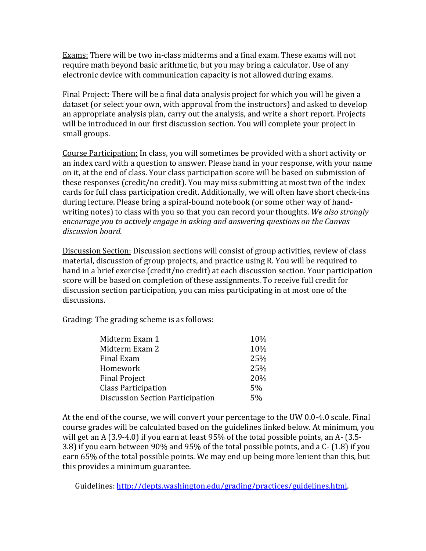Exams: There will be two in-class midterms and a final exam. These exams will not require math beyond basic arithmetic, but you may bring a calculator. Use of any electronic device with communication capacity is not allowed during exams.

Final Project: There will be a final data analysis project for which you will be given a dataset (or select your own, with approval from the instructors) and asked to develop an appropriate analysis plan, carry out the analysis, and write a short report. Projects will be introduced in our first discussion section. You will complete your project in small groups.

Course Participation: In class, you will sometimes be provided with a short activity or an index card with a question to answer. Please hand in your response, with your name on it, at the end of class. Your class participation score will be based on submission of these responses (credit/no credit). You may miss submitting at most two of the index cards for full class participation credit. Additionally, we will often have short check-ins during lecture. Please bring a spiral-bound notebook (or some other way of handwriting notes) to class with you so that you can record your thoughts. *We also strongly encourage you to actively engage in asking and answering questions on the Canvas discussion board.*

Discussion Section: Discussion sections will consist of group activities, review of class material, discussion of group projects, and practice using R. You will be required to hand in a brief exercise (credit/no credit) at each discussion section. Your participation score will be based on completion of these assignments. To receive full credit for discussion section participation, you can miss participating in at most one of the discussions.

Grading: The grading scheme is as follows:

| Midterm Exam 1                          | 10% |
|-----------------------------------------|-----|
| Midterm Exam 2                          | 10% |
| Final Exam                              | 25% |
| Homework                                | 25% |
| <b>Final Project</b>                    | 20% |
| <b>Class Participation</b>              | 5%  |
| <b>Discussion Section Participation</b> |     |
|                                         |     |

At the end of the course, we will convert your percentage to the UW 0.0-4.0 scale. Final course grades will be calculated based on the guidelines linked below. At minimum, you will get an A (3.9-4.0) if you earn at least 95% of the total possible points, an A- (3.5- 3.8) if you earn between 90% and 95% of the total possible points, and a C- (1.8) if you earn 65% of the total possible points. We may end up being more lenient than this, but this provides a minimum guarantee.

Guidelines: [http://depts.washington.edu/grading/practices/guidelines.html.](http://depts.washington.edu/grading/practices/guidelines.html)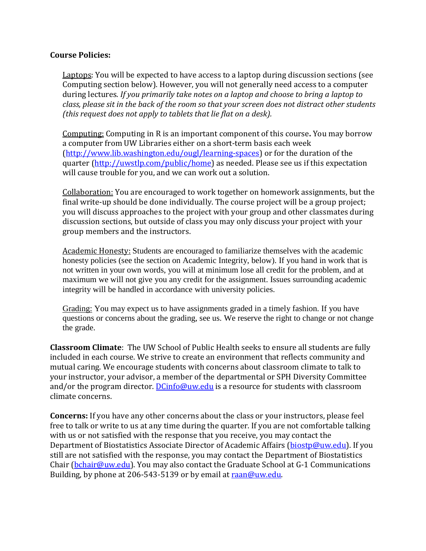## **Course Policies:**

Laptops: You will be expected to have access to a laptop during discussion sections (see Computing section below). However, you will not generally need access to a computer during lectures. *If you primarily take notes on a laptop and choose to bring a laptop to class, please sit in the back of the room so that your screen does not distract other students (this request does not apply to tablets that lie flat on a desk).*

Computing: Computing in R is an important component of this course**.** You may borrow a computer from UW Libraries either on a short-term basis each week [\(http://www.lib.washington.edu/ougl/learning-spaces\)](http://www.lib.washington.edu/ougl/learning-spaces) or for the duration of the quarter [\(http://uwstlp.com/public/home\)](http://uwstlp.com/public/home) as needed. Please see us if this expectation will cause trouble for you, and we can work out a solution.

Collaboration: You are encouraged to work together on homework assignments, but the final write-up should be done individually. The course project will be a group project; you will discuss approaches to the project with your group and other classmates during discussion sections, but outside of class you may only discuss your project with your group members and the instructors.

Academic Honesty: Students are encouraged to familiarize themselves with the academic honesty policies (see the section on Academic Integrity, below). If you hand in work that is not written in your own words, you will at minimum lose all credit for the problem, and at maximum we will not give you any credit for the assignment. Issues surrounding academic integrity will be handled in accordance with university policies.

Grading: You may expect us to have assignments graded in a timely fashion. If you have questions or concerns about the grading, see us. We reserve the right to change or not change the grade.

**Classroom Climate**: The UW School of Public Health seeks to ensure all students are fully included in each course. We strive to create an environment that reflects community and mutual caring. We encourage students with concerns about classroom climate to talk to your instructor, your advisor, a member of the departmental or SPH Diversity Committee and/or the program director. **[DCinfo@uw.edu](mailto:DCinfo@uw.edu)** is a resource for students with classroom climate concerns.

**Concerns:** If you have any other concerns about the class or your instructors, please feel free to talk or write to us at any time during the quarter. If you are not comfortable talking with us or not satisfied with the response that you receive, you may contact the Department of Biostatistics Associate Director of Academic Affairs [\(biostp@uw.edu\)](mailto:biostp@uw.edu). If you still are not satisfied with the response, you may contact the Department of Biostatistics Chair [\(bchair@uw.edu\)](mailto:bchair@uw.edu). You may also contact the Graduate School at G-1 Communications Building, by phone at 206-543-5139 or by email at [raan@uw.edu.](mailto:raan@uw.edu)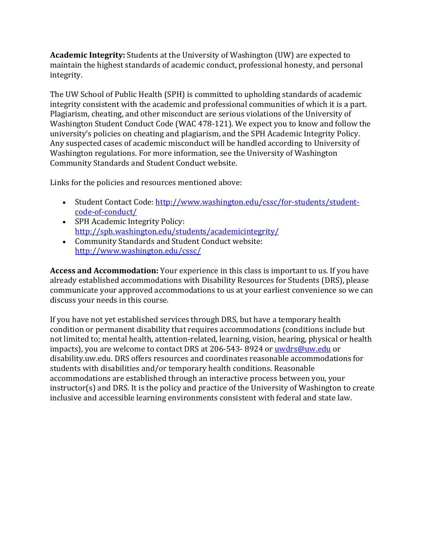**Academic Integrity:** Students at the University of Washington (UW) are expected to maintain the highest standards of academic conduct, professional honesty, and personal integrity.

The UW School of Public Health (SPH) is committed to upholding standards of academic integrity consistent with the academic and professional communities of which it is a part. Plagiarism, cheating, and other misconduct are serious violations of the University of Washington Student Conduct Code (WAC 478-121). We expect you to know and follow the university's policies on cheating and plagiarism, and the SPH Academic Integrity Policy. Any suspected cases of academic misconduct will be handled according to University of Washington regulations. For more information, see the University of Washington Community Standards and Student Conduct website.

Links for the policies and resources mentioned above:

- Student Contact Code[: http://www.washington.edu/cssc/for-students/student](http://www.washington.edu/cssc/for-students/student-code-of-conduct/)[code-of-conduct/](http://www.washington.edu/cssc/for-students/student-code-of-conduct/)
- SPH Academic Integrity Policy: <http://sph.washington.edu/students/academicintegrity/>
- Community Standards and Student Conduct website: <http://www.washington.edu/cssc/>

**Access and Accommodation:** Your experience in this class is important to us. If you have already established accommodations with Disability Resources for Students (DRS), please communicate your approved accommodations to us at your earliest convenience so we can discuss your needs in this course.

If you have not yet established services through DRS, but have a temporary health condition or permanent disability that requires accommodations (conditions include but not limited to; mental health, attention-related, learning, vision, hearing, physical or health impacts), you are welcome to contact DRS at 206-543- 8924 or [uwdrs@uw.edu](mailto:uwdrs@uw.edu) or disability.uw.edu. DRS offers resources and coordinates reasonable accommodations for students with disabilities and/or temporary health conditions. Reasonable accommodations are established through an interactive process between you, your instructor(s) and DRS. It is the policy and practice of the University of Washington to create inclusive and accessible learning environments consistent with federal and state law.